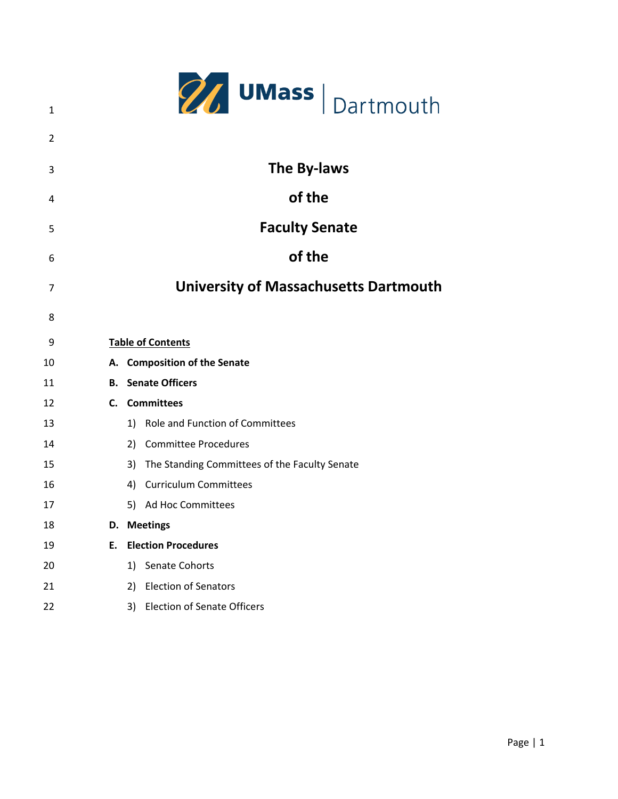|    |    | <b>27 UMass</b> Dartmouth                           |
|----|----|-----------------------------------------------------|
| 1  |    |                                                     |
| 2  |    |                                                     |
| 3  |    | The By-laws                                         |
| 4  |    | of the                                              |
| 5  |    | <b>Faculty Senate</b>                               |
| 6  |    | of the                                              |
| 7  |    | <b>University of Massachusetts Dartmouth</b>        |
| 8  |    |                                                     |
| 9  |    | <b>Table of Contents</b>                            |
| 10 |    | A. Composition of the Senate                        |
| 11 |    | <b>B.</b> Senate Officers                           |
| 12 |    | C. Committees                                       |
| 13 |    | Role and Function of Committees<br>1)               |
| 14 |    | <b>Committee Procedures</b><br>2)                   |
| 15 |    | The Standing Committees of the Faculty Senate<br>3) |
| 16 |    | <b>Curriculum Committees</b><br>4)                  |
| 17 |    | 5) Ad Hoc Committees                                |
| 18 | D. | <b>Meetings</b>                                     |
| 19 | Ε. | <b>Election Procedures</b>                          |
| 20 |    | Senate Cohorts<br>1)                                |
| 21 |    | <b>Election of Senators</b><br>2)                   |
| 22 |    | <b>Election of Senate Officers</b><br>3)            |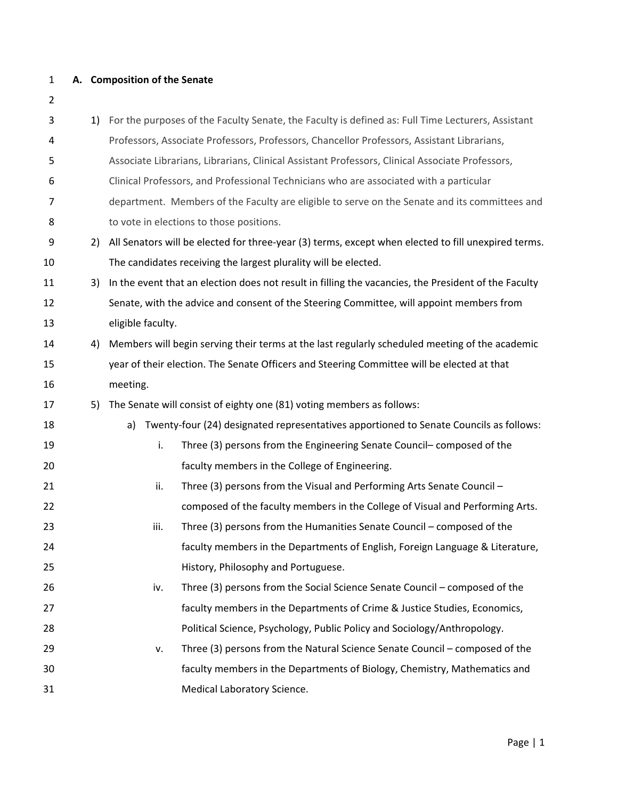#### **A. Composition of the Senate**

| 3  | 1) |                   | For the purposes of the Faculty Senate, the Faculty is defined as: Full Time Lecturers, Assistant    |
|----|----|-------------------|------------------------------------------------------------------------------------------------------|
| 4  |    |                   | Professors, Associate Professors, Professors, Chancellor Professors, Assistant Librarians,           |
| 5  |    |                   | Associate Librarians, Librarians, Clinical Assistant Professors, Clinical Associate Professors,      |
| 6  |    |                   | Clinical Professors, and Professional Technicians who are associated with a particular               |
| 7  |    |                   | department. Members of the Faculty are eligible to serve on the Senate and its committees and        |
| 8  |    |                   | to vote in elections to those positions.                                                             |
| 9  | 2) |                   | All Senators will be elected for three-year (3) terms, except when elected to fill unexpired terms.  |
| 10 |    |                   | The candidates receiving the largest plurality will be elected.                                      |
| 11 | 3) |                   | In the event that an election does not result in filling the vacancies, the President of the Faculty |
| 12 |    |                   | Senate, with the advice and consent of the Steering Committee, will appoint members from             |
| 13 |    | eligible faculty. |                                                                                                      |
| 14 | 4) |                   | Members will begin serving their terms at the last regularly scheduled meeting of the academic       |
| 15 |    |                   | year of their election. The Senate Officers and Steering Committee will be elected at that           |
| 16 |    | meeting.          |                                                                                                      |
| 17 | 5) |                   | The Senate will consist of eighty one (81) voting members as follows:                                |
| 18 |    | a)                | Twenty-four (24) designated representatives apportioned to Senate Councils as follows:               |
| 19 |    | i.                | Three (3) persons from the Engineering Senate Council-composed of the                                |
| 20 |    |                   | faculty members in the College of Engineering.                                                       |
| 21 |    | ii.               | Three (3) persons from the Visual and Performing Arts Senate Council -                               |
| 22 |    |                   | composed of the faculty members in the College of Visual and Performing Arts.                        |
| 23 |    | iii.              | Three (3) persons from the Humanities Senate Council - composed of the                               |
| 24 |    |                   | faculty members in the Departments of English, Foreign Language & Literature,                        |
| 25 |    |                   | History, Philosophy and Portuguese.                                                                  |
| 26 |    | iv.               | Three (3) persons from the Social Science Senate Council - composed of the                           |
| 27 |    |                   | faculty members in the Departments of Crime & Justice Studies, Economics,                            |
| 28 |    |                   | Political Science, Psychology, Public Policy and Sociology/Anthropology.                             |
| 29 |    | ۷.                | Three (3) persons from the Natural Science Senate Council - composed of the                          |
| 30 |    |                   | faculty members in the Departments of Biology, Chemistry, Mathematics and                            |
| 31 |    |                   | Medical Laboratory Science.                                                                          |
|    |    |                   |                                                                                                      |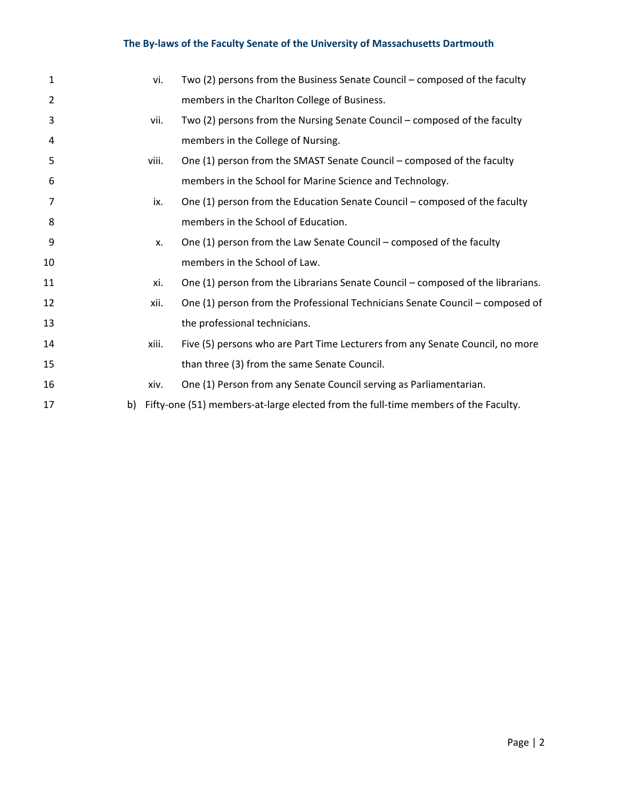|    | vi.   | Two (2) persons from the Business Senate Council – composed of the faculty         |
|----|-------|------------------------------------------------------------------------------------|
|    |       | members in the Charlton College of Business.                                       |
|    | vii.  | Two (2) persons from the Nursing Senate Council – composed of the faculty          |
|    |       | members in the College of Nursing.                                                 |
|    | viii. | One (1) person from the SMAST Senate Council – composed of the faculty             |
|    |       | members in the School for Marine Science and Technology.                           |
|    | ix.   | One (1) person from the Education Senate Council - composed of the faculty         |
|    |       | members in the School of Education.                                                |
|    | X.    | One (1) person from the Law Senate Council – composed of the faculty               |
|    |       | members in the School of Law.                                                      |
|    | xi.   | One (1) person from the Librarians Senate Council - composed of the librarians.    |
|    | xii.  | One (1) person from the Professional Technicians Senate Council – composed of      |
|    |       | the professional technicians.                                                      |
|    | xiii. | Five (5) persons who are Part Time Lecturers from any Senate Council, no more      |
|    |       | than three (3) from the same Senate Council.                                       |
|    | xiv.  | One (1) Person from any Senate Council serving as Parliamentarian.                 |
| b) |       | Fifty-one (51) members-at-large elected from the full-time members of the Faculty. |
|    |       |                                                                                    |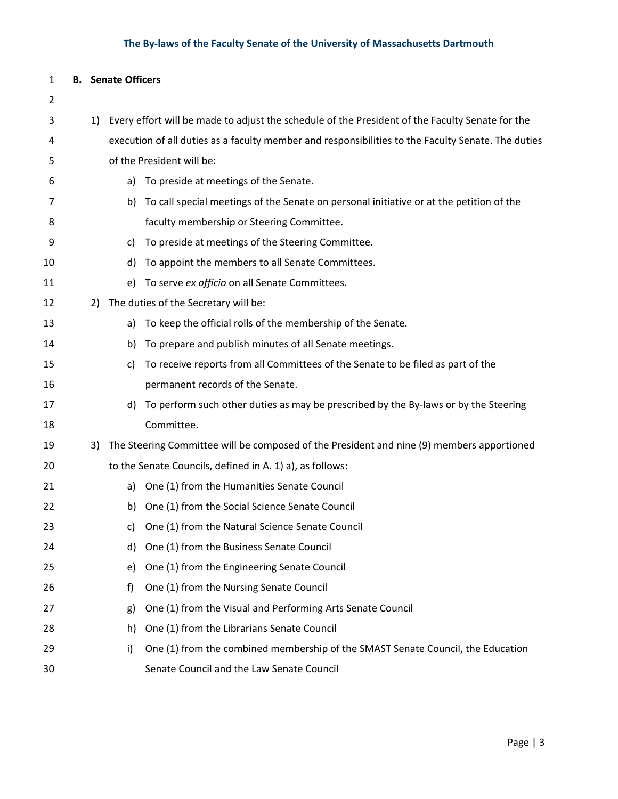#### **B. Senate Officers**

# 1) Every effort will be made to adjust the schedule of the President of the Faculty Senate for the execution of all duties as a faculty member and responsibilities to the Faculty Senate. The duties of the President will be: a) To preside at meetings of the Senate. 7 b) To call special meetings of the Senate on personal initiative or at the petition of the faculty membership or Steering Committee. c) To preside at meetings of the Steering Committee. d) To appoint the members to all Senate Committees. e) To serve *ex officio* on all Senate Committees. 2) The duties of the Secretary will be: a) To keep the official rolls of the membership of the Senate. b) To prepare and publish minutes of all Senate meetings. c) To receive reports from all Committees of the Senate to be filed as part of the permanent records of the Senate. 17 d) To perform such other duties as may be prescribed by the By-laws or by the Steering Committee. 3) The Steering Committee will be composed of the President and nine (9) members apportioned to the Senate Councils, defined in A. 1) a), as follows: a) One (1) from the Humanities Senate Council b) One (1) from the Social Science Senate Council c) One (1) from the Natural Science Senate Council d) One (1) from the Business Senate Council e) One (1) from the Engineering Senate Council f) One (1) from the Nursing Senate Council g) One (1) from the Visual and Performing Arts Senate Council h) One (1) from the Librarians Senate Council 29 i) One (1) from the combined membership of the SMAST Senate Council, the Education Senate Council and the Law Senate Council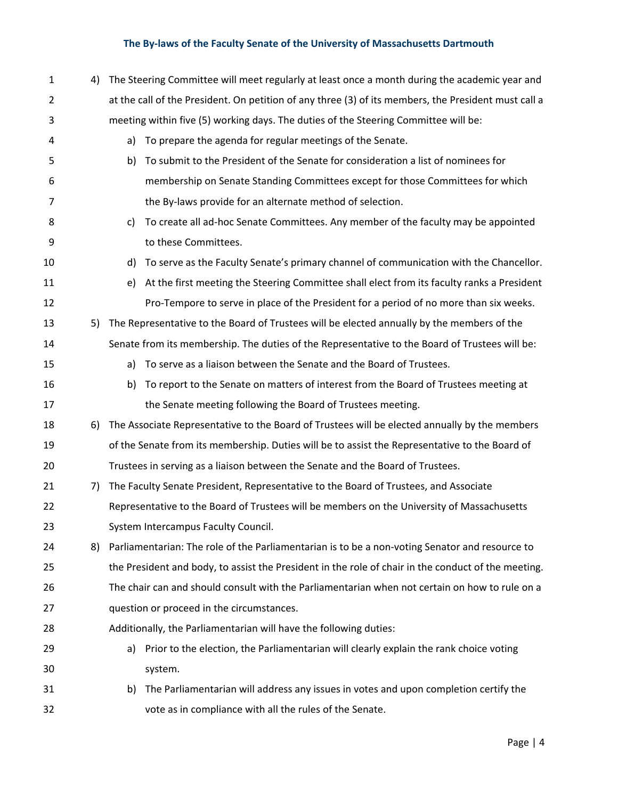| $\mathbf{1}$   | 4) | The Steering Committee will meet regularly at least once a month during the academic year and |                                                                                                      |  |  |  |  |  |
|----------------|----|-----------------------------------------------------------------------------------------------|------------------------------------------------------------------------------------------------------|--|--|--|--|--|
| $\overline{2}$ |    |                                                                                               | at the call of the President. On petition of any three (3) of its members, the President must call a |  |  |  |  |  |
| 3              |    |                                                                                               | meeting within five (5) working days. The duties of the Steering Committee will be:                  |  |  |  |  |  |
| 4              |    | a)                                                                                            | To prepare the agenda for regular meetings of the Senate.                                            |  |  |  |  |  |
| 5              |    | b)                                                                                            | To submit to the President of the Senate for consideration a list of nominees for                    |  |  |  |  |  |
| 6              |    |                                                                                               | membership on Senate Standing Committees except for those Committees for which                       |  |  |  |  |  |
| 7              |    |                                                                                               | the By-laws provide for an alternate method of selection.                                            |  |  |  |  |  |
| 8              |    | C)                                                                                            | To create all ad-hoc Senate Committees. Any member of the faculty may be appointed                   |  |  |  |  |  |
| 9              |    |                                                                                               | to these Committees.                                                                                 |  |  |  |  |  |
| 10             |    | d)                                                                                            | To serve as the Faculty Senate's primary channel of communication with the Chancellor.               |  |  |  |  |  |
| 11             |    | e)                                                                                            | At the first meeting the Steering Committee shall elect from its faculty ranks a President           |  |  |  |  |  |
| 12             |    |                                                                                               | Pro-Tempore to serve in place of the President for a period of no more than six weeks.               |  |  |  |  |  |
| 13             | 5) |                                                                                               | The Representative to the Board of Trustees will be elected annually by the members of the           |  |  |  |  |  |
| 14             |    |                                                                                               | Senate from its membership. The duties of the Representative to the Board of Trustees will be:       |  |  |  |  |  |
| 15             |    | a)                                                                                            | To serve as a liaison between the Senate and the Board of Trustees.                                  |  |  |  |  |  |
| 16             |    | b)                                                                                            | To report to the Senate on matters of interest from the Board of Trustees meeting at                 |  |  |  |  |  |
| 17             |    |                                                                                               | the Senate meeting following the Board of Trustees meeting.                                          |  |  |  |  |  |
| 18             | 6) |                                                                                               | The Associate Representative to the Board of Trustees will be elected annually by the members        |  |  |  |  |  |
| 19             |    |                                                                                               | of the Senate from its membership. Duties will be to assist the Representative to the Board of       |  |  |  |  |  |
| 20             |    |                                                                                               | Trustees in serving as a liaison between the Senate and the Board of Trustees.                       |  |  |  |  |  |
| 21             | 7) |                                                                                               | The Faculty Senate President, Representative to the Board of Trustees, and Associate                 |  |  |  |  |  |
| 22             |    |                                                                                               | Representative to the Board of Trustees will be members on the University of Massachusetts           |  |  |  |  |  |
| 23             |    |                                                                                               | System Intercampus Faculty Council.                                                                  |  |  |  |  |  |
| 24             | 8) |                                                                                               | Parliamentarian: The role of the Parliamentarian is to be a non-voting Senator and resource to       |  |  |  |  |  |
| 25             |    |                                                                                               | the President and body, to assist the President in the role of chair in the conduct of the meeting.  |  |  |  |  |  |
| 26             |    |                                                                                               | The chair can and should consult with the Parliamentarian when not certain on how to rule on a       |  |  |  |  |  |
| 27             |    |                                                                                               | question or proceed in the circumstances.                                                            |  |  |  |  |  |
| 28             |    |                                                                                               | Additionally, the Parliamentarian will have the following duties:                                    |  |  |  |  |  |
| 29             |    | a)                                                                                            | Prior to the election, the Parliamentarian will clearly explain the rank choice voting               |  |  |  |  |  |
| 30             |    |                                                                                               | system.                                                                                              |  |  |  |  |  |
| 31             |    | b)                                                                                            | The Parliamentarian will address any issues in votes and upon completion certify the                 |  |  |  |  |  |
| 32             |    |                                                                                               | vote as in compliance with all the rules of the Senate.                                              |  |  |  |  |  |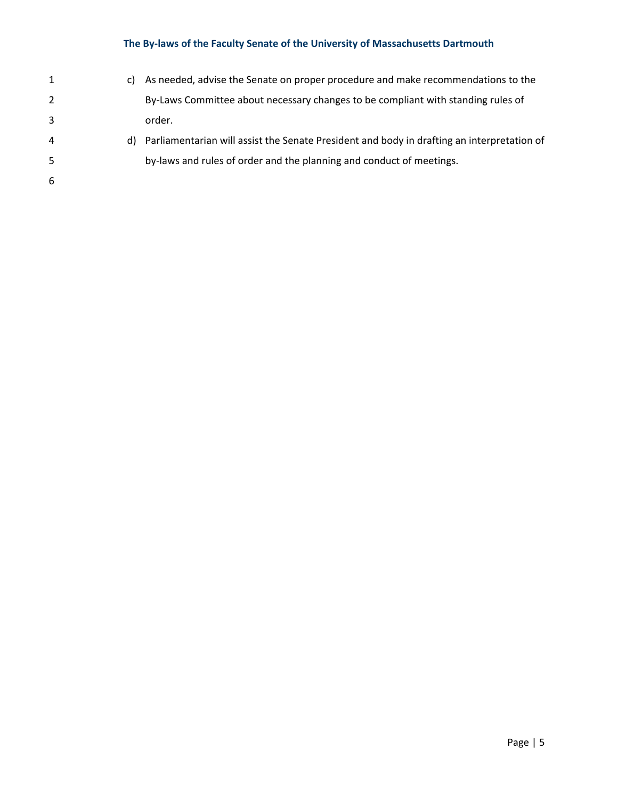| 1              | C) | As needed, advise the Senate on proper procedure and make recommendations to the              |
|----------------|----|-----------------------------------------------------------------------------------------------|
| $\overline{2}$ |    | By-Laws Committee about necessary changes to be compliant with standing rules of              |
| 3              |    | order.                                                                                        |
| 4              |    | d) Parliamentarian will assist the Senate President and body in drafting an interpretation of |
| 5.             |    | by-laws and rules of order and the planning and conduct of meetings.                          |
| 6              |    |                                                                                               |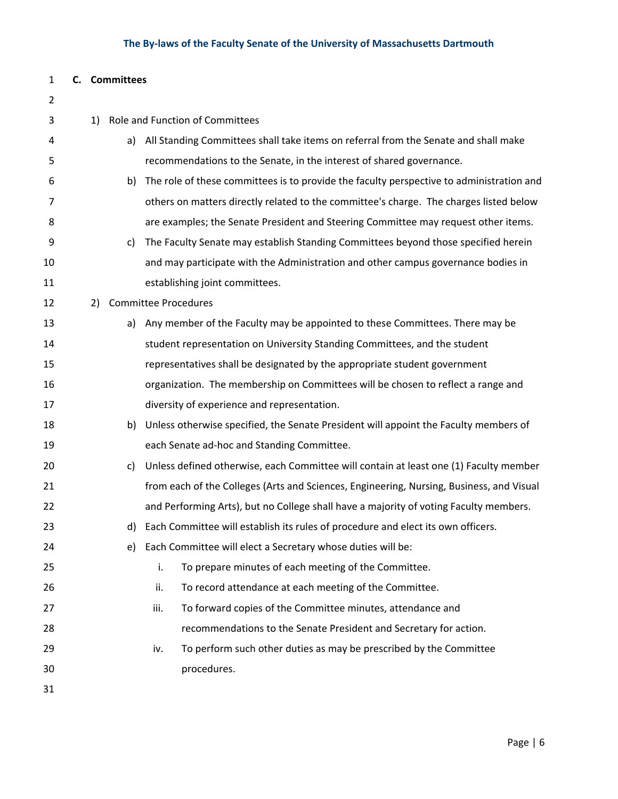#### **C. Committees**

| 2  |    |    |                                                                                          |
|----|----|----|------------------------------------------------------------------------------------------|
| 3  | 1) |    | Role and Function of Committees                                                          |
| 4  |    | a) | All Standing Committees shall take items on referral from the Senate and shall make      |
| 5  |    |    | recommendations to the Senate, in the interest of shared governance.                     |
| 6  |    | b) | The role of these committees is to provide the faculty perspective to administration and |
| 7  |    |    | others on matters directly related to the committee's charge. The charges listed below   |
| 8  |    |    | are examples; the Senate President and Steering Committee may request other items.       |
| 9  |    | c) | The Faculty Senate may establish Standing Committees beyond those specified herein       |
| 10 |    |    | and may participate with the Administration and other campus governance bodies in        |
| 11 |    |    | establishing joint committees.                                                           |
| 12 | 2) |    | <b>Committee Procedures</b>                                                              |
| 13 |    | a) | Any member of the Faculty may be appointed to these Committees. There may be             |
| 14 |    |    | student representation on University Standing Committees, and the student                |
| 15 |    |    | representatives shall be designated by the appropriate student government                |
| 16 |    |    | organization. The membership on Committees will be chosen to reflect a range and         |
| 17 |    |    | diversity of experience and representation.                                              |
| 18 |    | b) | Unless otherwise specified, the Senate President will appoint the Faculty members of     |
| 19 |    |    | each Senate ad-hoc and Standing Committee.                                               |
| 20 |    | c) | Unless defined otherwise, each Committee will contain at least one (1) Faculty member    |
| 21 |    |    | from each of the Colleges (Arts and Sciences, Engineering, Nursing, Business, and Visual |
| 22 |    |    | and Performing Arts), but no College shall have a majority of voting Faculty members.    |
| 23 |    | d) | Each Committee will establish its rules of procedure and elect its own officers.         |
| 24 |    |    | e) Each Committee will elect a Secretary whose duties will be:                           |
| 25 |    |    | i.<br>To prepare minutes of each meeting of the Committee.                               |
| 26 |    |    | To record attendance at each meeting of the Committee.<br>ii.                            |
| 27 |    |    | To forward copies of the Committee minutes, attendance and<br>iii.                       |
| 28 |    |    | recommendations to the Senate President and Secretary for action.                        |
| 29 |    |    | To perform such other duties as may be prescribed by the Committee<br>iv.                |
| 30 |    |    | procedures.                                                                              |
| 31 |    |    |                                                                                          |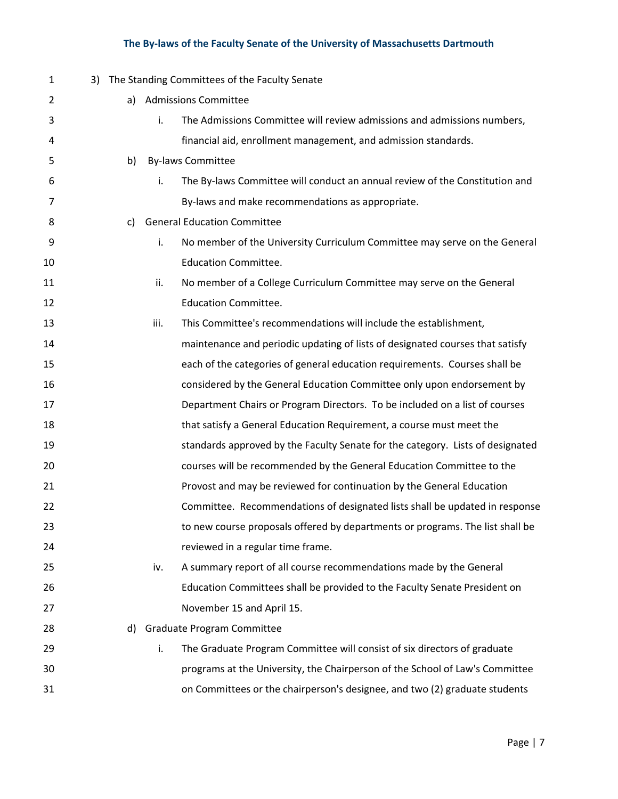| $\mathbf{1}$ |    |      | 3) The Standing Committees of the Faculty Senate                               |
|--------------|----|------|--------------------------------------------------------------------------------|
| 2            | a) |      | <b>Admissions Committee</b>                                                    |
| 3            |    | i.   | The Admissions Committee will review admissions and admissions numbers,        |
| 4            |    |      | financial aid, enrollment management, and admission standards.                 |
| 5            | b) |      | <b>By-laws Committee</b>                                                       |
| 6            |    | i.   | The By-laws Committee will conduct an annual review of the Constitution and    |
| 7            |    |      | By-laws and make recommendations as appropriate.                               |
| 8            | c) |      | <b>General Education Committee</b>                                             |
| 9            |    | i.   | No member of the University Curriculum Committee may serve on the General      |
| 10           |    |      | <b>Education Committee.</b>                                                    |
| 11           |    | ii.  | No member of a College Curriculum Committee may serve on the General           |
| 12           |    |      | <b>Education Committee.</b>                                                    |
| 13           |    | iii. | This Committee's recommendations will include the establishment,               |
| 14           |    |      | maintenance and periodic updating of lists of designated courses that satisfy  |
| 15           |    |      | each of the categories of general education requirements. Courses shall be     |
| 16           |    |      | considered by the General Education Committee only upon endorsement by         |
| 17           |    |      | Department Chairs or Program Directors. To be included on a list of courses    |
| 18           |    |      | that satisfy a General Education Requirement, a course must meet the           |
| 19           |    |      | standards approved by the Faculty Senate for the category. Lists of designated |
| 20           |    |      | courses will be recommended by the General Education Committee to the          |
| 21           |    |      | Provost and may be reviewed for continuation by the General Education          |
| 22           |    |      | Committee. Recommendations of designated lists shall be updated in response    |
| 23           |    |      | to new course proposals offered by departments or programs. The list shall be  |
| 24           |    |      | reviewed in a regular time frame.                                              |
| 25           |    | iv.  | A summary report of all course recommendations made by the General             |
| 26           |    |      | Education Committees shall be provided to the Faculty Senate President on      |
| 27           |    |      | November 15 and April 15.                                                      |
| 28           |    |      | d) Graduate Program Committee                                                  |
| 29           |    | i.   | The Graduate Program Committee will consist of six directors of graduate       |
| 30           |    |      | programs at the University, the Chairperson of the School of Law's Committee   |
| 31           |    |      | on Committees or the chairperson's designee, and two (2) graduate students     |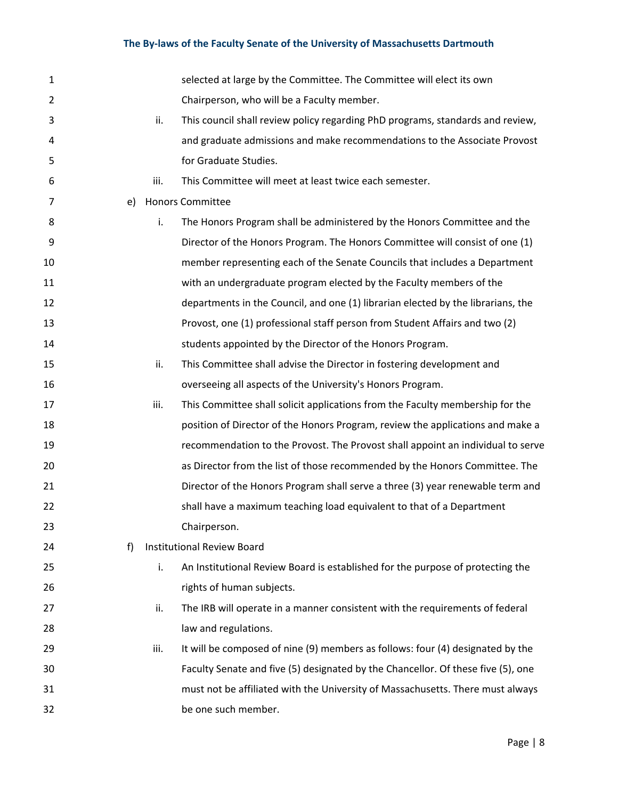| $\mathbf{1}$   |    |      | selected at large by the Committee. The Committee will elect its own             |
|----------------|----|------|----------------------------------------------------------------------------------|
| $\overline{2}$ |    |      | Chairperson, who will be a Faculty member.                                       |
| 3              |    | ii.  | This council shall review policy regarding PhD programs, standards and review,   |
| 4              |    |      | and graduate admissions and make recommendations to the Associate Provost        |
| 5              |    |      | for Graduate Studies.                                                            |
| 6              |    | iii. | This Committee will meet at least twice each semester.                           |
| 7              | e) |      | <b>Honors Committee</b>                                                          |
| 8              |    | i.   | The Honors Program shall be administered by the Honors Committee and the         |
| 9              |    |      | Director of the Honors Program. The Honors Committee will consist of one (1)     |
| 10             |    |      | member representing each of the Senate Councils that includes a Department       |
| 11             |    |      | with an undergraduate program elected by the Faculty members of the              |
| 12             |    |      | departments in the Council, and one (1) librarian elected by the librarians, the |
| 13             |    |      | Provost, one (1) professional staff person from Student Affairs and two (2)      |
| 14             |    |      | students appointed by the Director of the Honors Program.                        |
| 15             |    | ii.  | This Committee shall advise the Director in fostering development and            |
| 16             |    |      | overseeing all aspects of the University's Honors Program.                       |
| 17             |    | iii. | This Committee shall solicit applications from the Faculty membership for the    |
| 18             |    |      | position of Director of the Honors Program, review the applications and make a   |
| 19             |    |      | recommendation to the Provost. The Provost shall appoint an individual to serve  |
| 20             |    |      | as Director from the list of those recommended by the Honors Committee. The      |
| 21             |    |      | Director of the Honors Program shall serve a three (3) year renewable term and   |
| 22             |    |      | shall have a maximum teaching load equivalent to that of a Department            |
| 23             |    |      | Chairperson.                                                                     |
| 24             | f) |      | <b>Institutional Review Board</b>                                                |
| 25             |    | i.   | An Institutional Review Board is established for the purpose of protecting the   |
| 26             |    |      | rights of human subjects.                                                        |
| 27             |    | ii.  | The IRB will operate in a manner consistent with the requirements of federal     |
| 28             |    |      | law and regulations.                                                             |
| 29             |    | iii. | It will be composed of nine (9) members as follows: four (4) designated by the   |
| 30             |    |      | Faculty Senate and five (5) designated by the Chancellor. Of these five (5), one |
| 31             |    |      | must not be affiliated with the University of Massachusetts. There must always   |
| 32             |    |      | be one such member.                                                              |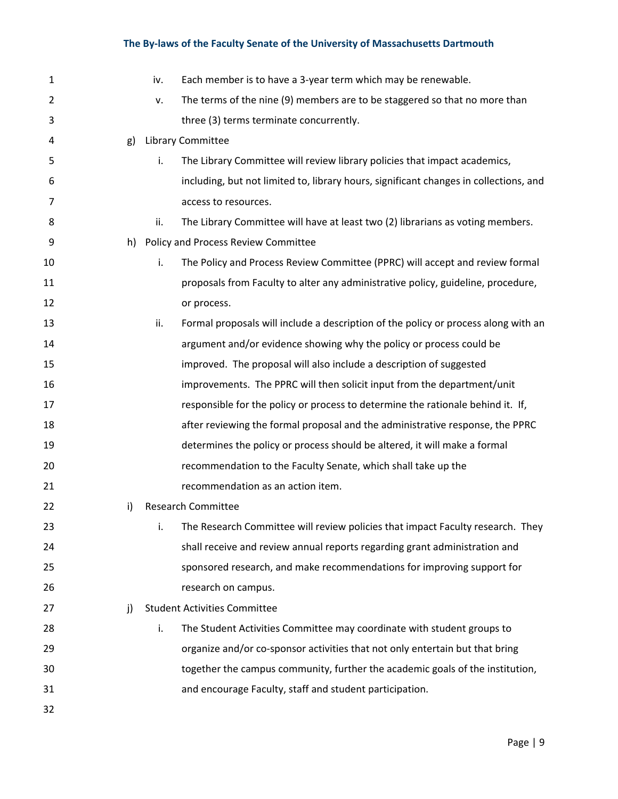| 1  |    | iv. | Each member is to have a 3-year term which may be renewable.                          |
|----|----|-----|---------------------------------------------------------------------------------------|
| 2  |    | v.  | The terms of the nine (9) members are to be staggered so that no more than            |
| 3  |    |     | three (3) terms terminate concurrently.                                               |
| 4  | g) |     | Library Committee                                                                     |
| 5  |    | i.  | The Library Committee will review library policies that impact academics,             |
| 6  |    |     | including, but not limited to, library hours, significant changes in collections, and |
| 7  |    |     | access to resources.                                                                  |
| 8  |    | ii. | The Library Committee will have at least two (2) librarians as voting members.        |
| 9  | h) |     | Policy and Process Review Committee                                                   |
| 10 |    | i.  | The Policy and Process Review Committee (PPRC) will accept and review formal          |
| 11 |    |     | proposals from Faculty to alter any administrative policy, guideline, procedure,      |
| 12 |    |     | or process.                                                                           |
| 13 |    | ii. | Formal proposals will include a description of the policy or process along with an    |
| 14 |    |     | argument and/or evidence showing why the policy or process could be                   |
| 15 |    |     | improved. The proposal will also include a description of suggested                   |
| 16 |    |     | improvements. The PPRC will then solicit input from the department/unit               |
| 17 |    |     | responsible for the policy or process to determine the rationale behind it. If,       |
| 18 |    |     | after reviewing the formal proposal and the administrative response, the PPRC         |
| 19 |    |     | determines the policy or process should be altered, it will make a formal             |
| 20 |    |     | recommendation to the Faculty Senate, which shall take up the                         |
| 21 |    |     | recommendation as an action item.                                                     |
| 22 | i) |     | <b>Research Committee</b>                                                             |
| 23 |    | i.  | The Research Committee will review policies that impact Faculty research. They        |
| 24 |    |     | shall receive and review annual reports regarding grant administration and            |
| 25 |    |     | sponsored research, and make recommendations for improving support for                |
| 26 |    |     | research on campus.                                                                   |
| 27 | j) |     | <b>Student Activities Committee</b>                                                   |
| 28 |    | i.  | The Student Activities Committee may coordinate with student groups to                |
| 29 |    |     | organize and/or co-sponsor activities that not only entertain but that bring          |
| 30 |    |     | together the campus community, further the academic goals of the institution,         |
| 31 |    |     | and encourage Faculty, staff and student participation.                               |
| 32 |    |     |                                                                                       |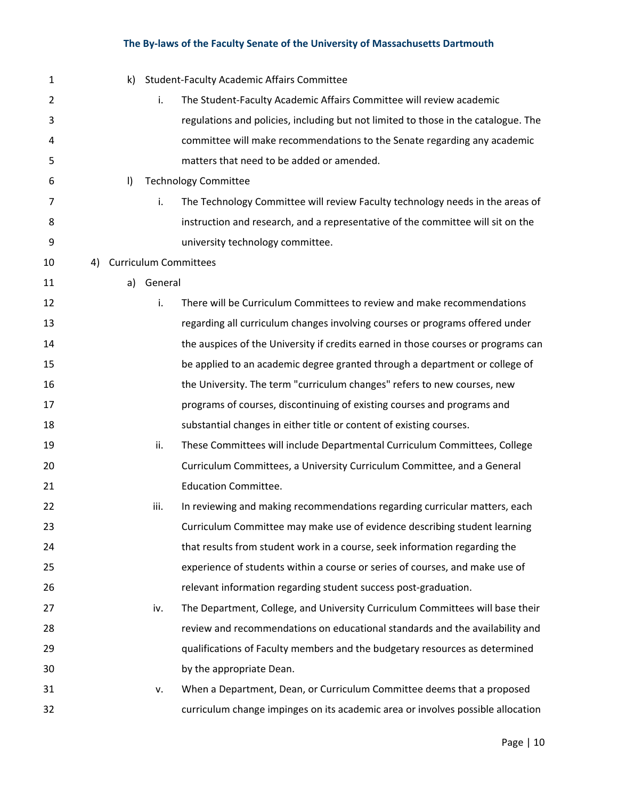| 1  | k)      |         | <b>Student-Faculty Academic Affairs Committee</b>                                  |
|----|---------|---------|------------------------------------------------------------------------------------|
| 2  |         | i.      | The Student-Faculty Academic Affairs Committee will review academic                |
| 3  |         |         | regulations and policies, including but not limited to those in the catalogue. The |
| 4  |         |         | committee will make recommendations to the Senate regarding any academic           |
| 5  |         |         | matters that need to be added or amended.                                          |
| 6  | $\vert$ |         | <b>Technology Committee</b>                                                        |
| 7  |         | i.      | The Technology Committee will review Faculty technology needs in the areas of      |
| 8  |         |         | instruction and research, and a representative of the committee will sit on the    |
| 9  |         |         | university technology committee.                                                   |
| 10 | 4)      |         | <b>Curriculum Committees</b>                                                       |
| 11 | a)      | General |                                                                                    |
| 12 |         | i.      | There will be Curriculum Committees to review and make recommendations             |
| 13 |         |         | regarding all curriculum changes involving courses or programs offered under       |
| 14 |         |         | the auspices of the University if credits earned in those courses or programs can  |
| 15 |         |         | be applied to an academic degree granted through a department or college of        |
| 16 |         |         | the University. The term "curriculum changes" refers to new courses, new           |
| 17 |         |         | programs of courses, discontinuing of existing courses and programs and            |
| 18 |         |         | substantial changes in either title or content of existing courses.                |
| 19 |         | ii.     | These Committees will include Departmental Curriculum Committees, College          |
| 20 |         |         | Curriculum Committees, a University Curriculum Committee, and a General            |
| 21 |         |         | <b>Education Committee.</b>                                                        |
| 22 |         | iii.    | In reviewing and making recommendations regarding curricular matters, each         |
| 23 |         |         | Curriculum Committee may make use of evidence describing student learning          |
| 24 |         |         | that results from student work in a course, seek information regarding the         |
| 25 |         |         | experience of students within a course or series of courses, and make use of       |
| 26 |         |         | relevant information regarding student success post-graduation.                    |
| 27 |         | iv.     | The Department, College, and University Curriculum Committees will base their      |
| 28 |         |         | review and recommendations on educational standards and the availability and       |
| 29 |         |         | qualifications of Faculty members and the budgetary resources as determined        |
| 30 |         |         | by the appropriate Dean.                                                           |
| 31 |         | v.      | When a Department, Dean, or Curriculum Committee deems that a proposed             |
| 32 |         |         | curriculum change impinges on its academic area or involves possible allocation    |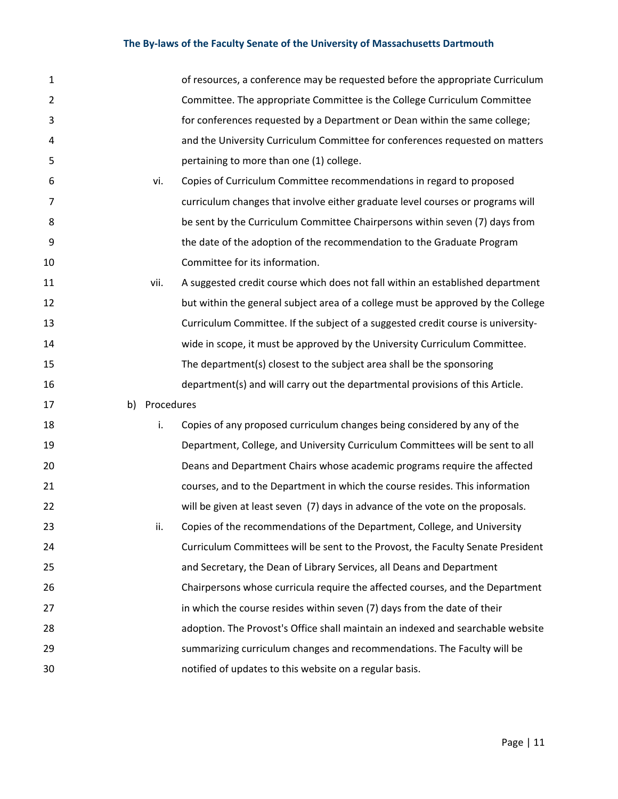| $\mathbf{1}$   |               | of resources, a conference may be requested before the appropriate Curriculum    |
|----------------|---------------|----------------------------------------------------------------------------------|
| $\overline{2}$ |               | Committee. The appropriate Committee is the College Curriculum Committee         |
| 3              |               | for conferences requested by a Department or Dean within the same college;       |
| 4              |               | and the University Curriculum Committee for conferences requested on matters     |
| 5              |               | pertaining to more than one (1) college.                                         |
| 6              | vi.           | Copies of Curriculum Committee recommendations in regard to proposed             |
| 7              |               | curriculum changes that involve either graduate level courses or programs will   |
| 8              |               | be sent by the Curriculum Committee Chairpersons within seven (7) days from      |
| 9              |               | the date of the adoption of the recommendation to the Graduate Program           |
| 10             |               | Committee for its information.                                                   |
| 11             | vii.          | A suggested credit course which does not fall within an established department   |
| 12             |               | but within the general subject area of a college must be approved by the College |
| 13             |               | Curriculum Committee. If the subject of a suggested credit course is university- |
| 14             |               | wide in scope, it must be approved by the University Curriculum Committee.       |
| 15             |               | The department(s) closest to the subject area shall be the sponsoring            |
| 16             |               | department(s) and will carry out the departmental provisions of this Article.    |
| 17             | b) Procedures |                                                                                  |
| 18             | i.            | Copies of any proposed curriculum changes being considered by any of the         |
| 19             |               | Department, College, and University Curriculum Committees will be sent to all    |
| 20             |               | Deans and Department Chairs whose academic programs require the affected         |
| 21             |               | courses, and to the Department in which the course resides. This information     |
| 22             |               | will be given at least seven (7) days in advance of the vote on the proposals.   |
| 23             | ii.           | Copies of the recommendations of the Department, College, and University         |
| 24             |               | Curriculum Committees will be sent to the Provost, the Faculty Senate President  |
| 25             |               | and Secretary, the Dean of Library Services, all Deans and Department            |
| 26             |               | Chairpersons whose curricula require the affected courses, and the Department    |
| 27             |               | in which the course resides within seven (7) days from the date of their         |
| 28             |               | adoption. The Provost's Office shall maintain an indexed and searchable website  |
| 29             |               | summarizing curriculum changes and recommendations. The Faculty will be          |
| 30             |               | notified of updates to this website on a regular basis.                          |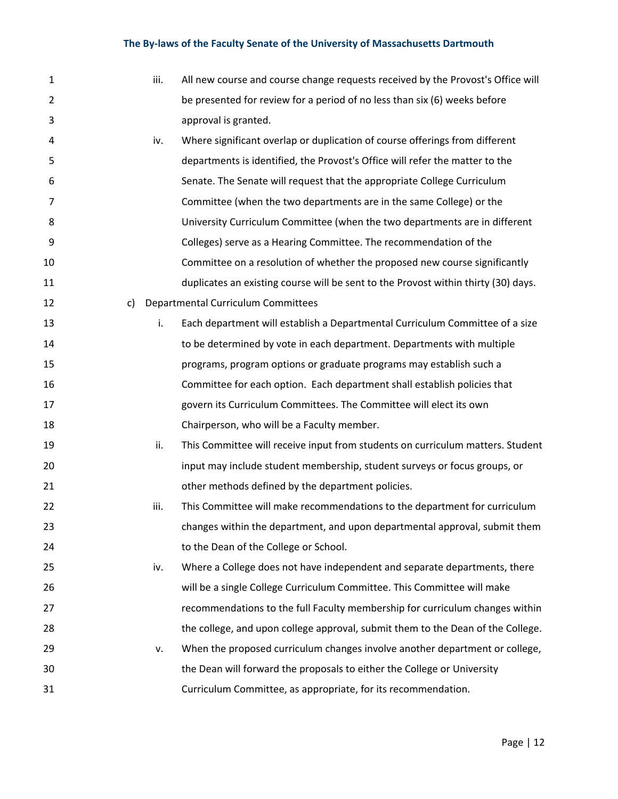| 1              |    | iii. | All new course and course change requests received by the Provost's Office will    |
|----------------|----|------|------------------------------------------------------------------------------------|
| $\overline{2}$ |    |      | be presented for review for a period of no less than six (6) weeks before          |
| 3              |    |      | approval is granted.                                                               |
| 4              |    | iv.  | Where significant overlap or duplication of course offerings from different        |
| 5              |    |      | departments is identified, the Provost's Office will refer the matter to the       |
| 6              |    |      | Senate. The Senate will request that the appropriate College Curriculum            |
| 7              |    |      | Committee (when the two departments are in the same College) or the                |
| 8              |    |      | University Curriculum Committee (when the two departments are in different         |
| 9              |    |      | Colleges) serve as a Hearing Committee. The recommendation of the                  |
| 10             |    |      | Committee on a resolution of whether the proposed new course significantly         |
| 11             |    |      | duplicates an existing course will be sent to the Provost within thirty (30) days. |
| 12             | c) |      | Departmental Curriculum Committees                                                 |
| 13             |    | i.   | Each department will establish a Departmental Curriculum Committee of a size       |
| 14             |    |      | to be determined by vote in each department. Departments with multiple             |
| 15             |    |      | programs, program options or graduate programs may establish such a                |
| 16             |    |      | Committee for each option. Each department shall establish policies that           |
| 17             |    |      | govern its Curriculum Committees. The Committee will elect its own                 |
| 18             |    |      | Chairperson, who will be a Faculty member.                                         |
| 19             |    | ii.  | This Committee will receive input from students on curriculum matters. Student     |
| 20             |    |      | input may include student membership, student surveys or focus groups, or          |
| 21             |    |      | other methods defined by the department policies.                                  |
| 22             |    | iii. | This Committee will make recommendations to the department for curriculum          |
| 23             |    |      | changes within the department, and upon departmental approval, submit them         |
| 24             |    |      | to the Dean of the College or School.                                              |
| 25             |    | iv.  | Where a College does not have independent and separate departments, there          |
| 26             |    |      | will be a single College Curriculum Committee. This Committee will make            |
| 27             |    |      | recommendations to the full Faculty membership for curriculum changes within       |
| 28             |    |      | the college, and upon college approval, submit them to the Dean of the College.    |
| 29             |    | v.   | When the proposed curriculum changes involve another department or college,        |
| 30             |    |      | the Dean will forward the proposals to either the College or University            |
| 31             |    |      | Curriculum Committee, as appropriate, for its recommendation.                      |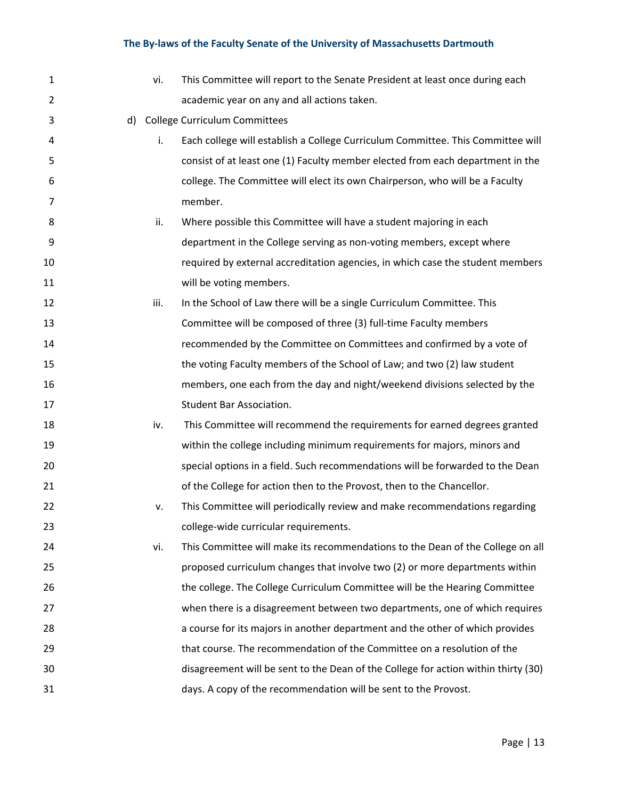| 1  |    | vi.  | This Committee will report to the Senate President at least once during each       |
|----|----|------|------------------------------------------------------------------------------------|
| 2  |    |      | academic year on any and all actions taken.                                        |
| 3  | d) |      | <b>College Curriculum Committees</b>                                               |
| 4  |    | i.   | Each college will establish a College Curriculum Committee. This Committee will    |
| 5  |    |      | consist of at least one (1) Faculty member elected from each department in the     |
| 6  |    |      | college. The Committee will elect its own Chairperson, who will be a Faculty       |
| 7  |    |      | member.                                                                            |
| 8  |    | ii.  | Where possible this Committee will have a student majoring in each                 |
| 9  |    |      | department in the College serving as non-voting members, except where              |
| 10 |    |      | required by external accreditation agencies, in which case the student members     |
| 11 |    |      | will be voting members.                                                            |
| 12 |    | iii. | In the School of Law there will be a single Curriculum Committee. This             |
| 13 |    |      | Committee will be composed of three (3) full-time Faculty members                  |
| 14 |    |      | recommended by the Committee on Committees and confirmed by a vote of              |
| 15 |    |      | the voting Faculty members of the School of Law; and two (2) law student           |
| 16 |    |      | members, one each from the day and night/weekend divisions selected by the         |
| 17 |    |      | Student Bar Association.                                                           |
| 18 |    | iv.  | This Committee will recommend the requirements for earned degrees granted          |
| 19 |    |      | within the college including minimum requirements for majors, minors and           |
| 20 |    |      | special options in a field. Such recommendations will be forwarded to the Dean     |
| 21 |    |      | of the College for action then to the Provost, then to the Chancellor.             |
| 22 |    | v.   | This Committee will periodically review and make recommendations regarding         |
| 23 |    |      | college-wide curricular requirements.                                              |
| 24 |    | vi.  | This Committee will make its recommendations to the Dean of the College on all     |
| 25 |    |      | proposed curriculum changes that involve two (2) or more departments within        |
| 26 |    |      | the college. The College Curriculum Committee will be the Hearing Committee        |
| 27 |    |      | when there is a disagreement between two departments, one of which requires        |
| 28 |    |      | a course for its majors in another department and the other of which provides      |
| 29 |    |      | that course. The recommendation of the Committee on a resolution of the            |
| 30 |    |      | disagreement will be sent to the Dean of the College for action within thirty (30) |
| 31 |    |      | days. A copy of the recommendation will be sent to the Provost.                    |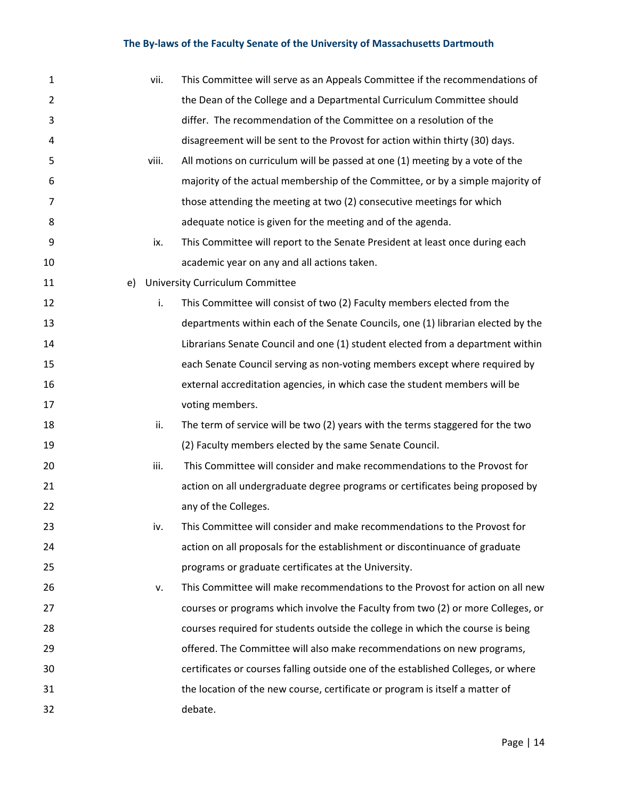| 1              |    | vii.  | This Committee will serve as an Appeals Committee if the recommendations of       |
|----------------|----|-------|-----------------------------------------------------------------------------------|
| $\overline{2}$ |    |       | the Dean of the College and a Departmental Curriculum Committee should            |
| 3              |    |       | differ. The recommendation of the Committee on a resolution of the                |
| 4              |    |       | disagreement will be sent to the Provost for action within thirty (30) days.      |
| 5              |    | viii. | All motions on curriculum will be passed at one (1) meeting by a vote of the      |
| 6              |    |       | majority of the actual membership of the Committee, or by a simple majority of    |
| 7              |    |       | those attending the meeting at two (2) consecutive meetings for which             |
| 8              |    |       | adequate notice is given for the meeting and of the agenda.                       |
| 9              |    | ix.   | This Committee will report to the Senate President at least once during each      |
| 10             |    |       | academic year on any and all actions taken.                                       |
| 11             | e) |       | <b>University Curriculum Committee</b>                                            |
| 12             |    | i.    | This Committee will consist of two (2) Faculty members elected from the           |
| 13             |    |       | departments within each of the Senate Councils, one (1) librarian elected by the  |
| 14             |    |       | Librarians Senate Council and one (1) student elected from a department within    |
| 15             |    |       | each Senate Council serving as non-voting members except where required by        |
| 16             |    |       | external accreditation agencies, in which case the student members will be        |
| 17             |    |       | voting members.                                                                   |
| 18             |    | ii.   | The term of service will be two (2) years with the terms staggered for the two    |
| 19             |    |       | (2) Faculty members elected by the same Senate Council.                           |
| 20             |    | iii.  | This Committee will consider and make recommendations to the Provost for          |
| 21             |    |       | action on all undergraduate degree programs or certificates being proposed by     |
| 22             |    |       | any of the Colleges.                                                              |
| 23             |    | IV.   | This Committee will consider and make recommendations to the Provost for          |
| 24             |    |       | action on all proposals for the establishment or discontinuance of graduate       |
| 25             |    |       | programs or graduate certificates at the University.                              |
| 26             |    | v.    | This Committee will make recommendations to the Provost for action on all new     |
| 27             |    |       | courses or programs which involve the Faculty from two (2) or more Colleges, or   |
| 28             |    |       | courses required for students outside the college in which the course is being    |
| 29             |    |       | offered. The Committee will also make recommendations on new programs,            |
| 30             |    |       | certificates or courses falling outside one of the established Colleges, or where |
| 31             |    |       | the location of the new course, certificate or program is itself a matter of      |
| 32             |    |       | debate.                                                                           |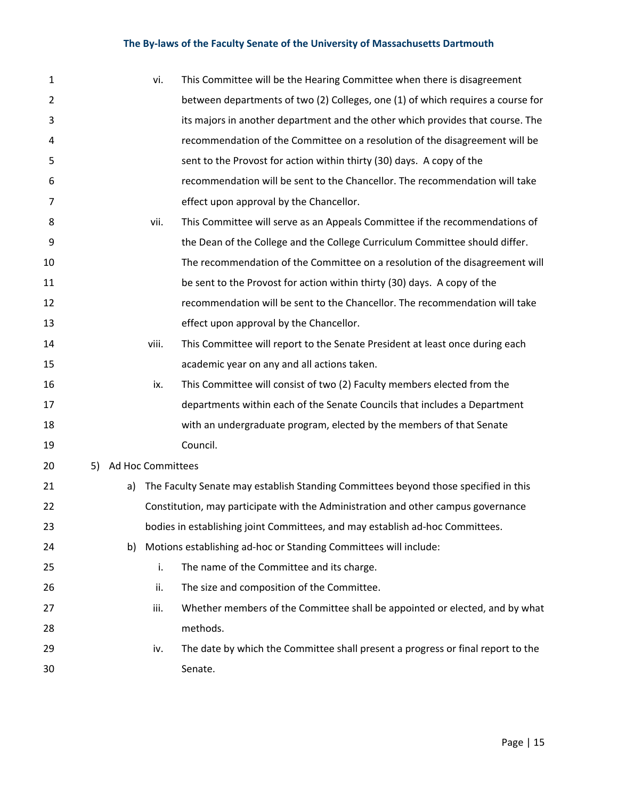| $\mathbf 1$    |    |                   | vi.   | This Committee will be the Hearing Committee when there is disagreement             |
|----------------|----|-------------------|-------|-------------------------------------------------------------------------------------|
| $\overline{2}$ |    |                   |       | between departments of two (2) Colleges, one (1) of which requires a course for     |
| 3              |    |                   |       | its majors in another department and the other which provides that course. The      |
| 4              |    |                   |       | recommendation of the Committee on a resolution of the disagreement will be         |
| 5              |    |                   |       | sent to the Provost for action within thirty (30) days. A copy of the               |
| 6              |    |                   |       | recommendation will be sent to the Chancellor. The recommendation will take         |
| 7              |    |                   |       | effect upon approval by the Chancellor.                                             |
| 8              |    |                   | vii.  | This Committee will serve as an Appeals Committee if the recommendations of         |
| 9              |    |                   |       | the Dean of the College and the College Curriculum Committee should differ.         |
| 10             |    |                   |       | The recommendation of the Committee on a resolution of the disagreement will        |
| 11             |    |                   |       | be sent to the Provost for action within thirty (30) days. A copy of the            |
| 12             |    |                   |       | recommendation will be sent to the Chancellor. The recommendation will take         |
| 13             |    |                   |       | effect upon approval by the Chancellor.                                             |
| 14             |    |                   | viii. | This Committee will report to the Senate President at least once during each        |
| 15             |    |                   |       | academic year on any and all actions taken.                                         |
| 16             |    |                   | ix.   | This Committee will consist of two (2) Faculty members elected from the             |
| 17             |    |                   |       | departments within each of the Senate Councils that includes a Department           |
| 18             |    |                   |       | with an undergraduate program, elected by the members of that Senate                |
| 19             |    |                   |       | Council.                                                                            |
| 20             | 5) | Ad Hoc Committees |       |                                                                                     |
| 21             |    | a)                |       | The Faculty Senate may establish Standing Committees beyond those specified in this |
| 22             |    |                   |       | Constitution, may participate with the Administration and other campus governance   |
| 23             |    |                   |       | bodies in establishing joint Committees, and may establish ad-hoc Committees.       |
| 24             |    | b)                |       | Motions establishing ad-hoc or Standing Committees will include:                    |
| 25             |    |                   | i.    | The name of the Committee and its charge.                                           |
| 26             |    |                   | ii.   | The size and composition of the Committee.                                          |
| 27             |    |                   | iii.  | Whether members of the Committee shall be appointed or elected, and by what         |
| 28             |    |                   |       | methods.                                                                            |
| 29             |    |                   | iv.   | The date by which the Committee shall present a progress or final report to the     |
| 30             |    |                   |       | Senate.                                                                             |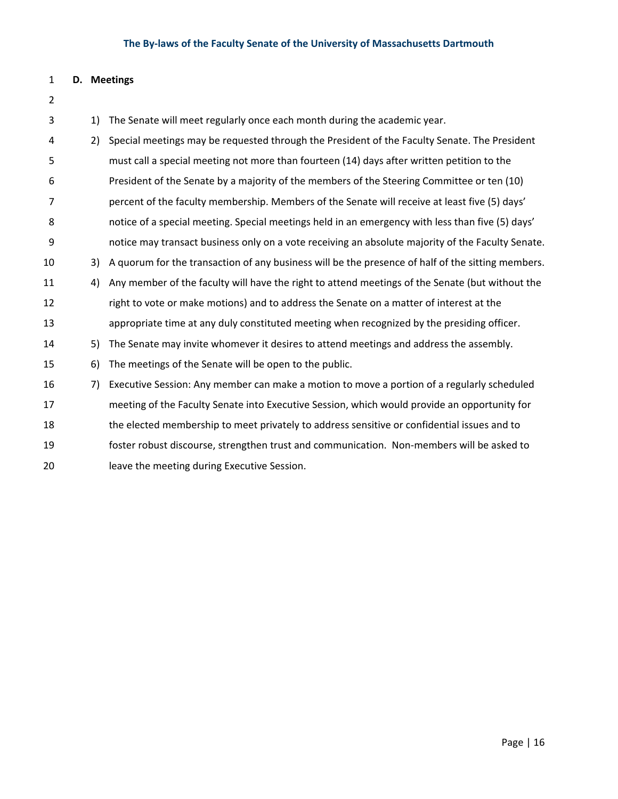# **D. Meetings** 1) The Senate will meet regularly once each month during the academic year. 2) Special meetings may be requested through the President of the Faculty Senate. The President must call a special meeting not more than fourteen (14) days after written petition to the President of the Senate by a majority of the members of the Steering Committee or ten (10) percent of the faculty membership. Members of the Senate will receive at least five (5) days' notice of a special meeting. Special meetings held in an emergency with less than five (5) days' notice may transact business only on a vote receiving an absolute majority of the Faculty Senate. 3) A quorum for the transaction of any business will be the presence of half of the sitting members. 4) Any member of the faculty will have the right to attend meetings of the Senate (but without the right to vote or make motions) and to address the Senate on a matter of interest at the appropriate time at any duly constituted meeting when recognized by the presiding officer. 5) The Senate may invite whomever it desires to attend meetings and address the assembly. 6) The meetings of the Senate will be open to the public. 7) Executive Session: Any member can make a motion to move a portion of a regularly scheduled meeting of the Faculty Senate into Executive Session, which would provide an opportunity for the elected membership to meet privately to address sensitive or confidential issues and to 19 foster robust discourse, strengthen trust and communication. Non-members will be asked to leave the meeting during Executive Session.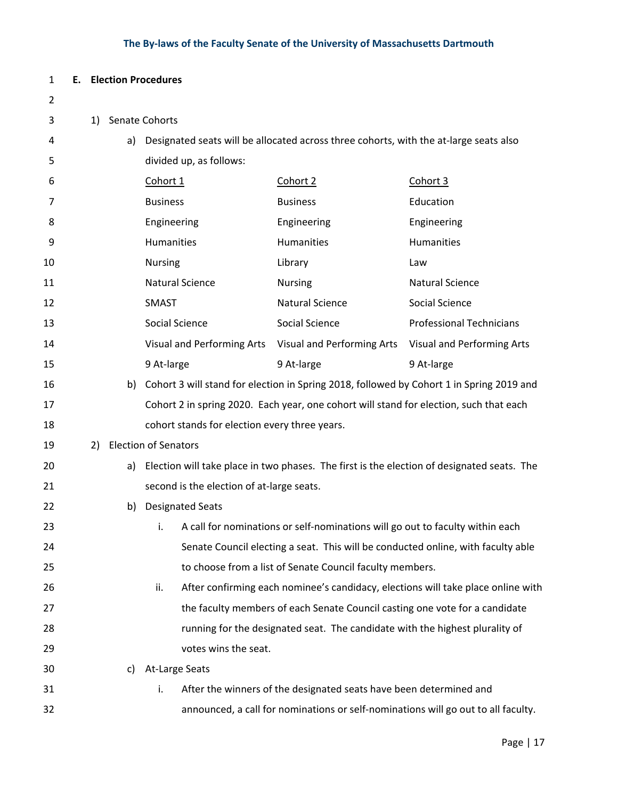| $\mathbf{1}$   |    |    | <b>E.</b> Election Procedures |                                               |                                                                                        |                                                                                             |
|----------------|----|----|-------------------------------|-----------------------------------------------|----------------------------------------------------------------------------------------|---------------------------------------------------------------------------------------------|
| $\overline{2}$ |    |    |                               |                                               |                                                                                        |                                                                                             |
| 3              | 1) |    | Senate Cohorts                |                                               |                                                                                        |                                                                                             |
| 4              |    | a) |                               |                                               | Designated seats will be allocated across three cohorts, with the at-large seats also  |                                                                                             |
| 5              |    |    |                               | divided up, as follows:                       |                                                                                        |                                                                                             |
| 6              |    |    | Cohort 1                      |                                               | Cohort 2                                                                               | Cohort 3                                                                                    |
| 7              |    |    | <b>Business</b>               |                                               | <b>Business</b>                                                                        | Education                                                                                   |
| 8              |    |    | Engineering                   |                                               | Engineering                                                                            | Engineering                                                                                 |
| 9              |    |    | Humanities                    |                                               | Humanities                                                                             | Humanities                                                                                  |
| 10             |    |    | <b>Nursing</b>                |                                               | Library                                                                                | Law                                                                                         |
| 11             |    |    |                               | <b>Natural Science</b>                        | <b>Nursing</b>                                                                         | <b>Natural Science</b>                                                                      |
| 12             |    |    | <b>SMAST</b>                  |                                               | <b>Natural Science</b>                                                                 | Social Science                                                                              |
| 13             |    |    |                               | Social Science                                | Social Science                                                                         | <b>Professional Technicians</b>                                                             |
| 14             |    |    |                               |                                               | Visual and Performing Arts Visual and Performing Arts                                  | Visual and Performing Arts                                                                  |
| 15             |    |    | 9 At-large                    |                                               | 9 At-large                                                                             | 9 At-large                                                                                  |
| 16             |    |    |                               |                                               |                                                                                        | b) Cohort 3 will stand for election in Spring 2018, followed by Cohort 1 in Spring 2019 and |
| 17             |    |    |                               |                                               | Cohort 2 in spring 2020. Each year, one cohort will stand for election, such that each |                                                                                             |
| 18             |    |    |                               | cohort stands for election every three years. |                                                                                        |                                                                                             |
| 19             | 2) |    | <b>Election of Senators</b>   |                                               |                                                                                        |                                                                                             |
| 20             |    | a) |                               |                                               |                                                                                        | Election will take place in two phases. The first is the election of designated seats. The  |
| 21             |    |    |                               | second is the election of at-large seats.     |                                                                                        |                                                                                             |
| 22             |    | b) |                               | <b>Designated Seats</b>                       |                                                                                        |                                                                                             |
| 23             |    |    |                               |                                               | i. A call for nominations or self-nominations will go out to faculty within each       |                                                                                             |
| 24             |    |    |                               |                                               |                                                                                        | Senate Council electing a seat. This will be conducted online, with faculty able            |
| 25             |    |    |                               |                                               | to choose from a list of Senate Council faculty members.                               |                                                                                             |
| 26             |    |    | ii.                           |                                               |                                                                                        | After confirming each nominee's candidacy, elections will take place online with            |
| 27             |    |    |                               |                                               | the faculty members of each Senate Council casting one vote for a candidate            |                                                                                             |
| 28             |    |    |                               |                                               | running for the designated seat. The candidate with the highest plurality of           |                                                                                             |
| 29             |    |    |                               | votes wins the seat.                          |                                                                                        |                                                                                             |
| 30             |    | C) |                               | At-Large Seats                                |                                                                                        |                                                                                             |
| 31             |    |    | i.                            |                                               | After the winners of the designated seats have been determined and                     |                                                                                             |
| 32             |    |    |                               |                                               |                                                                                        | announced, a call for nominations or self-nominations will go out to all faculty.           |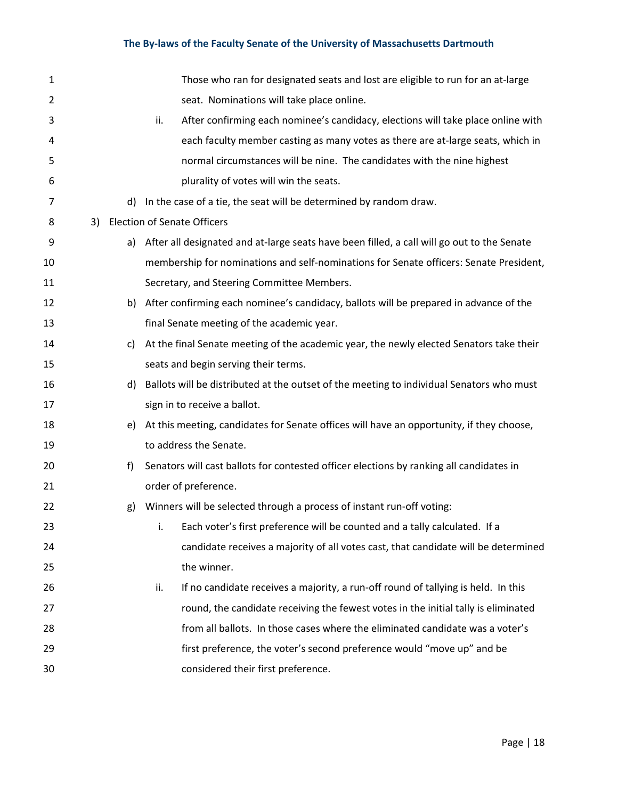| $\mathbf{1}$ |    |    |     | Those who ran for designated seats and lost are eligible to run for an at-large            |
|--------------|----|----|-----|--------------------------------------------------------------------------------------------|
| 2            |    |    |     | seat. Nominations will take place online.                                                  |
| 3            |    |    | ii. | After confirming each nominee's candidacy, elections will take place online with           |
| 4            |    |    |     | each faculty member casting as many votes as there are at-large seats, which in            |
| 5            |    |    |     | normal circumstances will be nine. The candidates with the nine highest                    |
| 6            |    |    |     | plurality of votes will win the seats.                                                     |
| 7            |    | d) |     | In the case of a tie, the seat will be determined by random draw.                          |
| 8            | 3) |    |     | <b>Election of Senate Officers</b>                                                         |
| 9            |    | a) |     | After all designated and at-large seats have been filled, a call will go out to the Senate |
| 10           |    |    |     | membership for nominations and self-nominations for Senate officers: Senate President,     |
| 11           |    |    |     | Secretary, and Steering Committee Members.                                                 |
| 12           |    | b) |     | After confirming each nominee's candidacy, ballots will be prepared in advance of the      |
| 13           |    |    |     | final Senate meeting of the academic year.                                                 |
| 14           |    | C) |     | At the final Senate meeting of the academic year, the newly elected Senators take their    |
| 15           |    |    |     | seats and begin serving their terms.                                                       |
| 16           |    | d) |     | Ballots will be distributed at the outset of the meeting to individual Senators who must   |
| 17           |    |    |     | sign in to receive a ballot.                                                               |
| 18           |    | e) |     | At this meeting, candidates for Senate offices will have an opportunity, if they choose,   |
| 19           |    |    |     | to address the Senate.                                                                     |
| 20           |    | f) |     | Senators will cast ballots for contested officer elections by ranking all candidates in    |
| 21           |    |    |     | order of preference.                                                                       |
| 22           |    | g) |     | Winners will be selected through a process of instant run-off voting:                      |
| 23           |    |    | i.  | Each voter's first preference will be counted and a tally calculated. If a                 |
| 24           |    |    |     | candidate receives a majority of all votes cast, that candidate will be determined         |
| 25           |    |    |     | the winner.                                                                                |
| 26           |    |    | ii. | If no candidate receives a majority, a run-off round of tallying is held. In this          |
| 27           |    |    |     | round, the candidate receiving the fewest votes in the initial tally is eliminated         |
| 28           |    |    |     | from all ballots. In those cases where the eliminated candidate was a voter's              |
| 29           |    |    |     | first preference, the voter's second preference would "move up" and be                     |
| 30           |    |    |     | considered their first preference.                                                         |